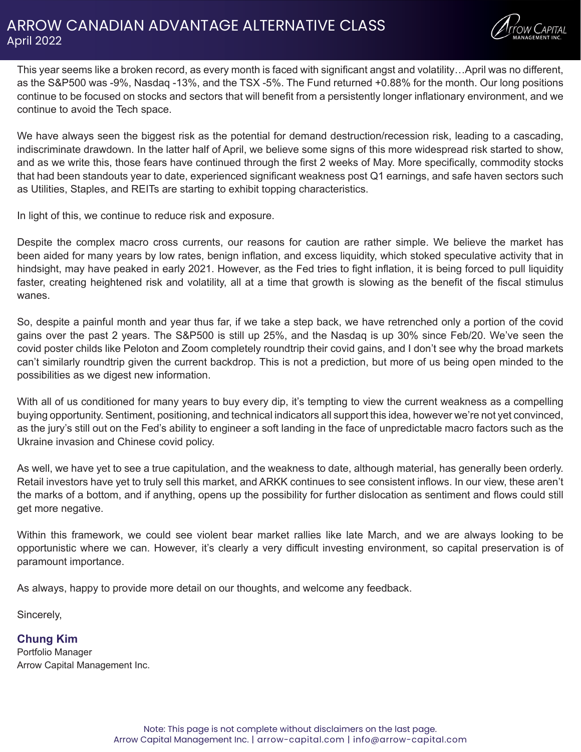## ARROW CANADIAN ADVANTAGE ALTERNATIVE CLASS April 2022



This year seems like a broken record, as every month is faced with significant angst and volatility…April was no different, as the S&P500 was -9%, Nasdaq -13%, and the TSX -5%. The Fund returned +0.88% for the month. Our long positions continue to be focused on stocks and sectors that will benefit from a persistently longer inflationary environment, and we continue to avoid the Tech space.

We have always seen the biggest risk as the potential for demand destruction/recession risk, leading to a cascading, indiscriminate drawdown. In the latter half of April, we believe some signs of this more widespread risk started to show, and as we write this, those fears have continued through the first 2 weeks of May. More specifically, commodity stocks that had been standouts year to date, experienced significant weakness post Q1 earnings, and safe haven sectors such as Utilities, Staples, and REITs are starting to exhibit topping characteristics.

In light of this, we continue to reduce risk and exposure.

Despite the complex macro cross currents, our reasons for caution are rather simple. We believe the market has been aided for many years by low rates, benign inflation, and excess liquidity, which stoked speculative activity that in hindsight, may have peaked in early 2021. However, as the Fed tries to fight inflation, it is being forced to pull liquidity faster, creating heightened risk and volatility, all at a time that growth is slowing as the benefit of the fiscal stimulus wanes.

So, despite a painful month and year thus far, if we take a step back, we have retrenched only a portion of the covid gains over the past 2 years. The S&P500 is still up 25%, and the Nasdaq is up 30% since Feb/20. We've seen the covid poster childs like Peloton and Zoom completely roundtrip their covid gains, and I don't see why the broad markets can't similarly roundtrip given the current backdrop. This is not a prediction, but more of us being open minded to the possibilities as we digest new information.

With all of us conditioned for many years to buy every dip, it's tempting to view the current weakness as a compelling buying opportunity. Sentiment, positioning, and technical indicators all support this idea, however we're not yet convinced, as the jury's still out on the Fed's ability to engineer a soft landing in the face of unpredictable macro factors such as the Ukraine invasion and Chinese covid policy.

As well, we have yet to see a true capitulation, and the weakness to date, although material, has generally been orderly. Retail investors have yet to truly sell this market, and ARKK continues to see consistent inflows. In our view, these aren't the marks of a bottom, and if anything, opens up the possibility for further dislocation as sentiment and flows could still get more negative.

Within this framework, we could see violent bear market rallies like late March, and we are always looking to be opportunistic where we can. However, it's clearly a very difficult investing environment, so capital preservation is of paramount importance.

As always, happy to provide more detail on our thoughts, and welcome any feedback.

Sincerely,

**Chung Kim** Portfolio Manager Arrow Capital Management Inc.